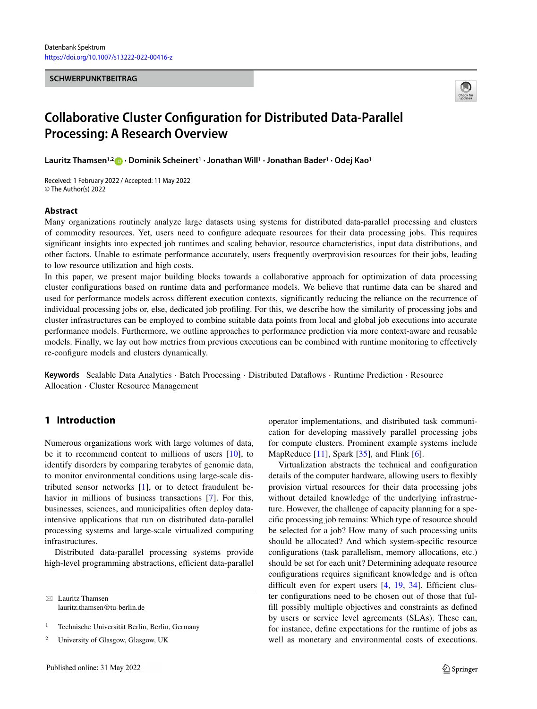#### **SCHWERPUNKTBEITRAG**



# **Collaborative Cluster Configuration for Distributed Data-Parallel Processing: A Research Overview**

**Lauritz Thamsen1,2 · Dominik Scheinert1 · Jonathan Will1 · Jonathan Bader1 · Odej Kao1**

Received: 1 February 2022 / Accepted: 11 May 2022 © The Author(s) 2022

#### **Abstract**

Many organizations routinely analyze large datasets using systems for distributed data-parallel processing and clusters of commodity resources. Yet, users need to configure adequate resources for their data processing jobs. This requires significant insights into expected job runtimes and scaling behavior, resource characteristics, input data distributions, and other factors. Unable to estimate performance accurately, users frequently overprovision resources for their jobs, leading to low resource utilization and high costs.

In this paper, we present major building blocks towards a collaborative approach for optimization of data processing cluster configurations based on runtime data and performance models. We believe that runtime data can be shared and used for performance models across different execution contexts, significantly reducing the reliance on the recurrence of individual processing jobs or, else, dedicated job profiling. For this, we describe how the similarity of processing jobs and cluster infrastructures can be employed to combine suitable data points from local and global job executions into accurate performance models. Furthermore, we outline approaches to performance prediction via more context-aware and reusable models. Finally, we lay out how metrics from previous executions can be combined with runtime monitoring to effectively re-configure models and clusters dynamically.

**Keywords** Scalable Data Analytics · Batch Processing · Distributed Dataflows · Runtime Prediction · Resource Allocation · Cluster Resource Management

# **1 Introduction**

Numerous organizations work with large volumes of data, be it to recommend content to millions of users  $[10]$ , to identify disorders by comparing terabytes of genomic data, to monitor environmental conditions using large-scale distributed sensor networks [\[1\]](#page-7-1), or to detect fraudulent be-havior in millions of business transactions [\[7\]](#page-7-2). For this, businesses, sciences, and municipalities often deploy dataintensive applications that run on distributed data-parallel processing systems and large-scale virtualized computing infrastructures.

Distributed data-parallel processing systems provide high-level programming abstractions, efficient data-parallel

 $\boxtimes$  Lauritz Thamsen lauritz.thamsen@tu-berlin.de operator implementations, and distributed task communication for developing massively parallel processing jobs for compute clusters. Prominent example systems include MapReduce  $[11]$ , Spark  $[35]$ , and Flink  $[6]$ .

Virtualization abstracts the technical and configuration details of the computer hardware, allowing users to flexibly provision virtual resources for their data processing jobs without detailed knowledge of the underlying infrastructure. However, the challenge of capacity planning for a specific processing job remains: Which type of resource should be selected for a job? How many of such processing units should be allocated? And which system-specific resource configurations (task parallelism, memory allocations, etc.) should be set for each unit? Determining adequate resource configurations requires significant knowledge and is often difficult even for expert users [\[4,](#page-7-5) [19,](#page-7-6) [34\]](#page-8-1). Efficient cluster configurations need to be chosen out of those that fulfill possibly multiple objectives and constraints as defined by users or service level agreements (SLAs). These can, for instance, define expectations for the runtime of jobs as well as monetary and environmental costs of executions.

<sup>1</sup> Technische Universität Berlin, Berlin, Germany

<sup>2</sup> University of Glasgow, Glasgow, UK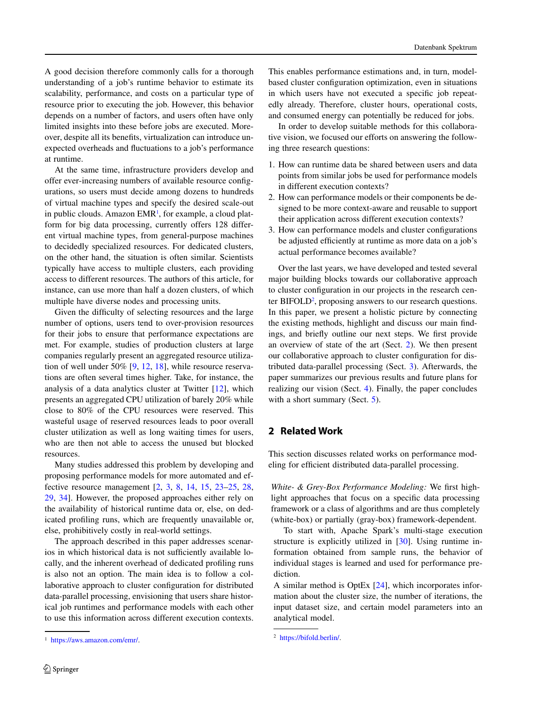A good decision therefore commonly calls for a thorough understanding of a job's runtime behavior to estimate its scalability, performance, and costs on a particular type of resource prior to executing the job. However, this behavior depends on a number of factors, and users often have only limited insights into these before jobs are executed. Moreover, despite all its benefits, virtualization can introduce unexpected overheads and fluctuations to a job's performance at runtime.

At the same time, infrastructure providers develop and offer ever-increasing numbers of available resource configurations, so users must decide among dozens to hundreds of virtual machine types and specify the desired scale-out in public clouds. Amazon EMR<sup>1</sup>, for example, a cloud platform for big data processing, currently offers 128 different virtual machine types, from general-purpose machines to decidedly specialized resources. For dedicated clusters, on the other hand, the situation is often similar. Scientists typically have access to multiple clusters, each providing access to different resources. The authors of this article, for instance, can use more than half a dozen clusters, of which multiple have diverse nodes and processing units.

Given the difficulty of selecting resources and the large number of options, users tend to over-provision resources for their jobs to ensure that performance expectations are met. For example, studies of production clusters at large companies regularly present an aggregated resource utilization of well under 50% [\[9,](#page-7-7) [12,](#page-7-8) [18\]](#page-7-9), while resource reservations are often several times higher. Take, for instance, the analysis of a data analytics cluster at Twitter [\[12\]](#page-7-8), which presents an aggregated CPU utilization of barely 20% while close to 80% of the CPU resources were reserved. This wasteful usage of reserved resources leads to poor overall cluster utilization as well as long waiting times for users, who are then not able to access the unused but blocked resources.

Many studies addressed this problem by developing and proposing performance models for more automated and effective resource management [\[2,](#page-7-10) [3,](#page-7-11) [8,](#page-7-12) [14,](#page-7-13) [15,](#page-7-14) [23](#page-7-15)[–25,](#page-7-16) [28,](#page-7-17) [29,](#page-7-18) [34\]](#page-8-1). However, the proposed approaches either rely on the availability of historical runtime data or, else, on dedicated profiling runs, which are frequently unavailable or, else, prohibitively costly in real-world settings.

The approach described in this paper addresses scenarios in which historical data is not sufficiently available locally, and the inherent overhead of dedicated profiling runs is also not an option. The main idea is to follow a collaborative approach to cluster configuration for distributed data-parallel processing, envisioning that users share historical job runtimes and performance models with each other to use this information across different execution contexts. This enables performance estimations and, in turn, modelbased cluster configuration optimization, even in situations in which users have not executed a specific job repeatedly already. Therefore, cluster hours, operational costs, and consumed energy can potentially be reduced for jobs.

In order to develop suitable methods for this collaborative vision, we focused our efforts on answering the following three research questions:

- 1. How can runtime data be shared between users and data points from similar jobs be used for performance models in different execution contexts?
- 2. How can performance models or their components be designed to be more context-aware and reusable to support their application across different execution contexts?
- 3. How can performance models and cluster configurations be adjusted efficiently at runtime as more data on a job's actual performance becomes available?

Over the last years, we have developed and tested several major building blocks towards our collaborative approach to cluster configuration in our projects in the research center BIFOLD<sup>2</sup>, proposing answers to our research questions. In this paper, we present a holistic picture by connecting the existing methods, highlight and discuss our main findings, and briefly outline our next steps. We first provide an overview of state of the art (Sect. [2\)](#page-1-2). We then present our collaborative approach to cluster configuration for distributed data-parallel processing (Sect. [3\)](#page-2-0). Afterwards, the paper summarizes our previous results and future plans for realizing our vision (Sect. [4\)](#page-4-0). Finally, the paper concludes with a short summary (Sect. [5\)](#page-7-19).

# <span id="page-1-2"></span>**2 Related Work**

This section discusses related works on performance modeling for efficient distributed data-parallel processing.

*White- & Grey-Box Performance Modeling:* We first highlight approaches that focus on a specific data processing framework or a class of algorithms and are thus completely (white-box) or partially (gray-box) framework-dependent.

To start with, Apache Spark's multi-stage execution structure is explicitly utilized in [\[30\]](#page-7-20). Using runtime information obtained from sample runs, the behavior of individual stages is learned and used for performance prediction.

<span id="page-1-0"></span><sup>1</sup> [https://aws.amazon.com/emr/.](https://aws.amazon.com/emr/)

A similar method is OptEx [\[24\]](#page-7-21), which incorporates information about the cluster size, the number of iterations, the input dataset size, and certain model parameters into an analytical model.

<span id="page-1-1"></span><sup>2</sup> [https://bifold.berlin/.](https://bifold.berlin/)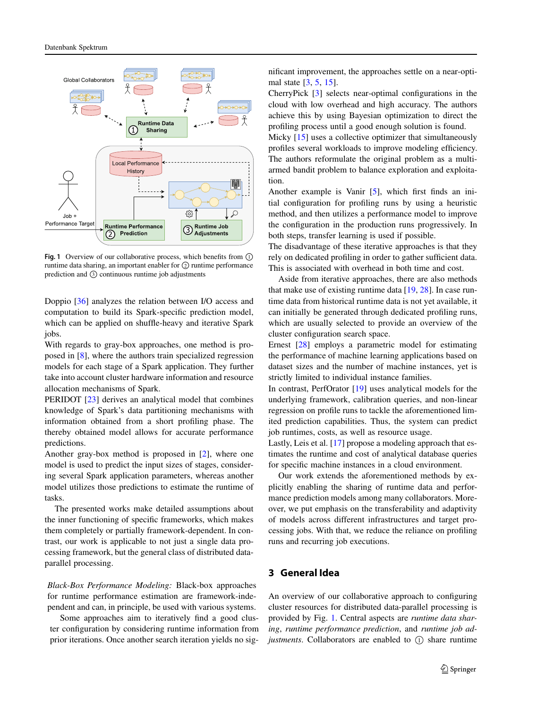

<span id="page-2-1"></span>**Fig. 1** Overview of our collaborative process, which benefits from  $\odot$ runtime data sharing, an important enabler for  $\oslash$  runtime performance prediction and  $\circled{3}$  continuous runtime job adjustments

Doppio [\[36\]](#page-8-2) analyzes the relation between I/O access and computation to build its Spark-specific prediction model, which can be applied on shuffle-heavy and iterative Spark jobs.

With regards to gray-box approaches, one method is proposed in [\[8\]](#page-7-12), where the authors train specialized regression models for each stage of a Spark application. They further take into account cluster hardware information and resource allocation mechanisms of Spark.

PERIDOT [\[23\]](#page-7-15) derives an analytical model that combines knowledge of Spark's data partitioning mechanisms with information obtained from a short profiling phase. The thereby obtained model allows for accurate performance predictions.

Another gray-box method is proposed in [\[2\]](#page-7-10), where one model is used to predict the input sizes of stages, considering several Spark application parameters, whereas another model utilizes those predictions to estimate the runtime of tasks.

The presented works make detailed assumptions about the inner functioning of specific frameworks, which makes them completely or partially framework-dependent. In contrast, our work is applicable to not just a single data processing framework, but the general class of distributed dataparallel processing.

*Black-Box Performance Modeling:* Black-box approaches for runtime performance estimation are framework-independent and can, in principle, be used with various systems.

Some approaches aim to iteratively find a good cluster configuration by considering runtime information from prior iterations. Once another search iteration yields no significant improvement, the approaches settle on a near-optimal state [\[3,](#page-7-11) [5,](#page-7-22) [15\]](#page-7-14).

CherryPick [\[3\]](#page-7-11) selects near-optimal configurations in the cloud with low overhead and high accuracy. The authors achieve this by using Bayesian optimization to direct the profiling process until a good enough solution is found.

Micky [\[15\]](#page-7-14) uses a collective optimizer that simultaneously profiles several workloads to improve modeling efficiency. The authors reformulate the original problem as a multiarmed bandit problem to balance exploration and exploitation.

Another example is Vanir [\[5\]](#page-7-22), which first finds an initial configuration for profiling runs by using a heuristic method, and then utilizes a performance model to improve the configuration in the production runs progressively. In both steps, transfer learning is used if possible.

The disadvantage of these iterative approaches is that they rely on dedicated profiling in order to gather sufficient data. This is associated with overhead in both time and cost.

Aside from iterative approaches, there are also methods that make use of existing runtime data [\[19,](#page-7-6) [28\]](#page-7-17). In case runtime data from historical runtime data is not yet available, it can initially be generated through dedicated profiling runs, which are usually selected to provide an overview of the cluster configuration search space.

Ernest [\[28\]](#page-7-17) employs a parametric model for estimating the performance of machine learning applications based on dataset sizes and the number of machine instances, yet is strictly limited to individual instance families.

In contrast, PerfOrator [\[19\]](#page-7-6) uses analytical models for the underlying framework, calibration queries, and non-linear regression on profile runs to tackle the aforementioned limited prediction capabilities. Thus, the system can predict job runtimes, costs, as well as resource usage.

Lastly, Leis et al. [\[17\]](#page-7-23) propose a modeling approach that estimates the runtime and cost of analytical database queries for specific machine instances in a cloud environment.

Our work extends the aforementioned methods by explicitly enabling the sharing of runtime data and performance prediction models among many collaborators. Moreover, we put emphasis on the transferability and adaptivity of models across different infrastructures and target processing jobs. With that, we reduce the reliance on profiling runs and recurring job executions.

# **3 General Idea**

<span id="page-2-0"></span>An overview of our collaborative approach to configuring cluster resources for distributed data-parallel processing is provided by Fig. [1.](#page-2-1) Central aspects are *runtime data sharing*, *runtime performance prediction*, and *runtime job adjustments*. Collaborators are enabled to  $\circled{1}$  share runtime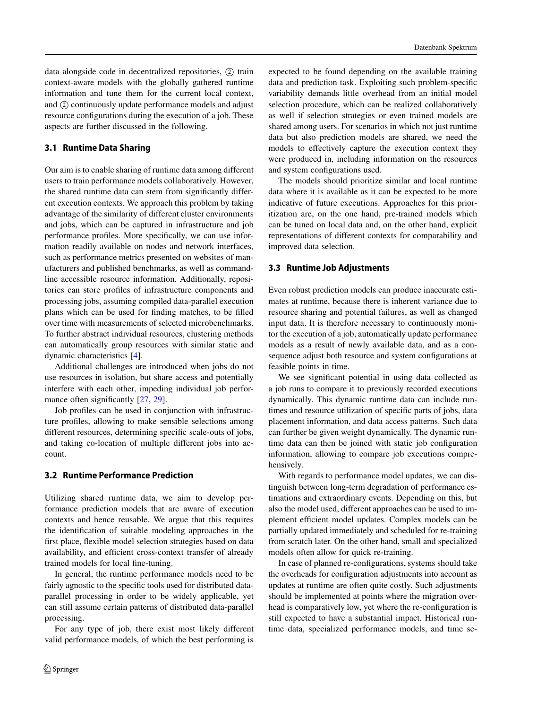data alongside code in decentralized repositories,  $\oslash$  train context-aware models with the globally gathered runtime information and tune them for the current local context, and ② continuously update performance models and adjust resource configurations during the execution of a job. These aspects are further discussed in the following.

## **3.1 Runtime Data Sharing**

Our aim is to enable sharing of runtime data among different users to train performance models collaboratively. However, the shared runtime data can stem from significantly different execution contexts. We approach this problem by taking advantage of the similarity of different cluster environments and jobs, which can be captured in infrastructure and job performance profiles. More specifically, we can use information readily available on nodes and network interfaces, such as performance metrics presented on websites of manufacturers and published benchmarks, as well as commandline accessible resource information. Additionally, repositories can store profiles of infrastructure components and processing jobs, assuming compiled data-parallel execution plans which can be used for finding matches, to be filled over time with measurements of selected microbenchmarks. To further abstract individual resources, clustering methods can automatically group resources with similar static and dynamic characteristics [\[4\]](#page-7-5).

Additional challenges are introduced when jobs do not use resources in isolation, but share access and potentially interfere with each other, impeding individual job perfor-mance often significantly [\[27,](#page-7-24) [29\]](#page-7-18).

Job profiles can be used in conjunction with infrastructure profiles, allowing to make sensible selections among different resources, determining specific scale-outs of jobs, and taking co-location of multiple different jobs into account.

## **3.2 Runtime Performance Prediction**

Utilizing shared runtime data, we aim to develop performance prediction models that are aware of execution contexts and hence reusable. We argue that this requires the identification of suitable modeling approaches in the first place, flexible model selection strategies based on data availability, and efficient cross-context transfer of already trained models for local fine-tuning.

In general, the runtime performance models need to be fairly agnostic to the specific tools used for distributed dataparallel processing in order to be widely applicable, yet can still assume certain patterns of distributed data-parallel processing.

For any type of job, there exist most likely different valid performance models, of which the best performing is

expected to be found depending on the available training data and prediction task. Exploiting such problem-specific variability demands little overhead from an initial model selection procedure, which can be realized collaboratively as well if selection strategies or even trained models are shared among users. For scenarios in which not just runtime data but also prediction models are shared, we need the models to effectively capture the execution context they were produced in, including information on the resources and system configurations used.

The models should prioritize similar and local runtime data where it is available as it can be expected to be more indicative of future executions. Approaches for this prioritization are, on the one hand, pre-trained models which can be tuned on local data and, on the other hand, explicit representations of different contexts for comparability and improved data selection.

#### **3.3 Runtime Job Adjustments**

Even robust prediction models can produce inaccurate estimates at runtime, because there is inherent variance due to resource sharing and potential failures, as well as changed input data. It is therefore necessary to continuously monitor the execution of a job, automatically update performance models as a result of newly available data, and as a consequence adjust both resource and system configurations at feasible points in time.

We see significant potential in using data collected as a job runs to compare it to previously recorded executions dynamically. This dynamic runtime data can include runtimes and resource utilization of specific parts of jobs, data placement information, and data access patterns. Such data can further be given weight dynamically. The dynamic runtime data can then be joined with static job configuration information, allowing to compare job executions comprehensively.

With regards to performance model updates, we can distinguish between long-term degradation of performance estimations and extraordinary events. Depending on this, but also the model used, different approaches can be used to implement efficient model updates. Complex models can be partially updated immediately and scheduled for re-training from scratch later. On the other hand, small and specialized models often allow for quick re-training.

In case of planned re-configurations, systems should take the overheads for configuration adjustments into account as updates at runtime are often quite costly. Such adjustments should be implemented at points where the migration overhead is comparatively low, yet where the re-configuration is still expected to have a substantial impact. Historical runtime data, specialized performance models, and time se-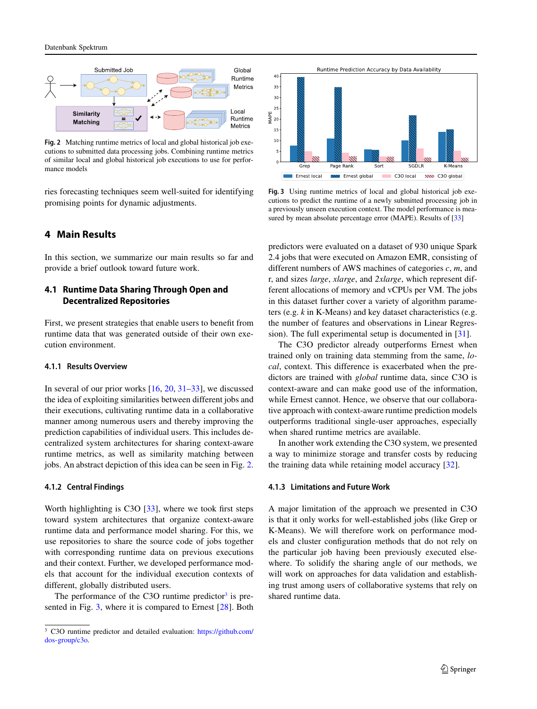

<span id="page-4-1"></span>**Fig. 2** Matching runtime metrics of local and global historical job executions to submitted data processing jobs. Combining runtime metrics of similar local and global historical job executions to use for performance models

ries forecasting techniques seem well-suited for identifying promising points for dynamic adjustments.

# <span id="page-4-0"></span>**4 Main Results**

In this section, we summarize our main results so far and provide a brief outlook toward future work.

# **4.1 Runtime Data Sharing Through Open and Decentralized Repositories**

First, we present strategies that enable users to benefit from runtime data that was generated outside of their own execution environment.

## **4.1.1 Results Overview**

In several of our prior works  $[16, 20, 31-33]$  $[16, 20, 31-33]$  $[16, 20, 31-33]$  $[16, 20, 31-33]$  $[16, 20, 31-33]$ , we discussed the idea of exploiting similarities between different jobs and their executions, cultivating runtime data in a collaborative manner among numerous users and thereby improving the prediction capabilities of individual users. This includes decentralized system architectures for sharing context-aware runtime metrics, as well as similarity matching between jobs. An abstract depiction of this idea can be seen in Fig. [2.](#page-4-1)

## **4.1.2 Central Findings**

Worth highlighting is C3O [\[33\]](#page-8-3), where we took first steps toward system architectures that organize context-aware runtime data and performance model sharing. For this, we use repositories to share the source code of jobs together with corresponding runtime data on previous executions and their context. Further, we developed performance models that account for the individual execution contexts of different, globally distributed users.

The performance of the C3O runtime predictor $3$  is presented in Fig. [3,](#page-4-3) where it is compared to Ernest [\[28\]](#page-7-17). Both



<span id="page-4-3"></span>**Fig. 3** Using runtime metrics of local and global historical job executions to predict the runtime of a newly submitted processing job in a previously unseen execution context. The model performance is mea-sured by mean absolute percentage error (MAPE). Results of [\[33\]](#page-8-3)

predictors were evaluated on a dataset of 930 unique Spark 2.4 jobs that were executed on Amazon EMR, consisting of different numbers of AWS machines of categories *c*, *m*, and r, and sizes *large*, *xlarge*, and *2xlarge*, which represent different allocations of memory and vCPUs per VM. The jobs in this dataset further cover a variety of algorithm parameters (e.g. *k* in K-Means) and key dataset characteristics (e.g. the number of features and observations in Linear Regression). The full experimental setup is documented in [\[31\]](#page-7-27).

The C3O predictor already outperforms Ernest when trained only on training data stemming from the same, *local*, context. This difference is exacerbated when the predictors are trained with *global* runtime data, since C3O is context-aware and can make good use of the information, while Ernest cannot. Hence, we observe that our collaborative approach with context-aware runtime prediction models outperforms traditional single-user approaches, especially when shared runtime metrics are available.

In another work extending the C3O system, we presented a way to minimize storage and transfer costs by reducing the training data while retaining model accuracy [\[32\]](#page-8-4).

## **4.1.3 Limitations and Future Work**

A major limitation of the approach we presented in C3O is that it only works for well-established jobs (like Grep or K-Means). We will therefore work on performance models and cluster configuration methods that do not rely on the particular job having been previously executed elsewhere. To solidify the sharing angle of our methods, we will work on approaches for data validation and establishing trust among users of collaborative systems that rely on shared runtime data.

<span id="page-4-2"></span><sup>&</sup>lt;sup>3</sup> C3O runtime predictor and detailed evaluation: [https://github.com/](https://github.com/dos-group/c3o) [dos-group/c3o.](https://github.com/dos-group/c3o)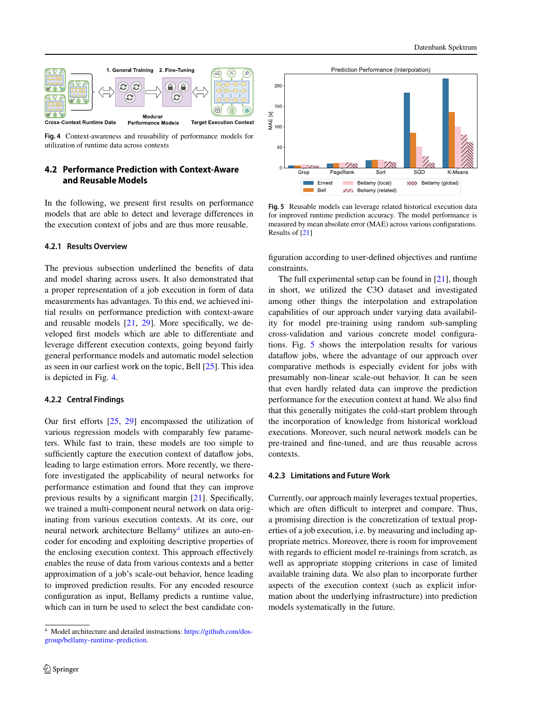

<span id="page-5-0"></span>**Fig. 4** Context-awareness and reusability of performance models for utilization of runtime data across contexts

# **4.2 Performance Prediction with Context-Aware and Reusable Models**

In the following, we present first results on performance models that are able to detect and leverage differences in the execution context of jobs and are thus more reusable.

## **4.2.1 Results Overview**

The previous subsection underlined the benefits of data and model sharing across users. It also demonstrated that a proper representation of a job execution in form of data measurements has advantages. To this end, we achieved initial results on performance prediction with context-aware and reusable models [\[21,](#page-7-28) [29\]](#page-7-18). More specifically, we developed first models which are able to differentiate and leverage different execution contexts, going beyond fairly general performance models and automatic model selection as seen in our earliest work on the topic, Bell [\[25\]](#page-7-16). This idea is depicted in Fig. [4.](#page-5-0)

## **4.2.2 Central Findings**

Our first efforts [\[25,](#page-7-16) [29\]](#page-7-18) encompassed the utilization of various regression models with comparably few parameters. While fast to train, these models are too simple to sufficiently capture the execution context of dataflow jobs, leading to large estimation errors. More recently, we therefore investigated the applicability of neural networks for performance estimation and found that they can improve previous results by a significant margin [\[21\]](#page-7-28). Specifically, we trained a multi-component neural network on data originating from various execution contexts. At its core, our neural network architecture Bellamy<sup>4</sup> utilizes an auto-encoder for encoding and exploiting descriptive properties of the enclosing execution context. This approach effectively enables the reuse of data from various contexts and a better approximation of a job's scale-out behavior, hence leading to improved prediction results. For any encoded resource configuration as input, Bellamy predicts a runtime value, which can in turn be used to select the best candidate con-



<span id="page-5-2"></span>**Fig. 5** Reusable models can leverage related historical execution data for improved runtime prediction accuracy. The model performance is measured by mean absolute error (MAE) across various configurations. Results of [\[21\]](#page-7-28)

figuration according to user-defined objectives and runtime constraints.

The full experimental setup can be found in [\[21\]](#page-7-28), though in short, we utilized the C3O dataset and investigated among other things the interpolation and extrapolation capabilities of our approach under varying data availability for model pre-training using random sub-sampling cross-validation and various concrete model configurations. Fig. [5](#page-5-2) shows the interpolation results for various dataflow jobs, where the advantage of our approach over comparative methods is especially evident for jobs with presumably non-linear scale-out behavior. It can be seen that even hardly related data can improve the prediction performance for the execution context at hand. We also find that this generally mitigates the cold-start problem through the incorporation of knowledge from historical workload executions. Moreover, such neural network models can be pre-trained and fine-tuned, and are thus reusable across contexts.

## **4.2.3 Limitations and Future Work**

Currently, our approach mainly leverages textual properties, which are often difficult to interpret and compare. Thus, a promising direction is the concretization of textual properties of a job execution, i.e. by measuring and including appropriate metrics. Moreover, there is room for improvement with regards to efficient model re-trainings from scratch, as well as appropriate stopping criterions in case of limited available training data. We also plan to incorporate further aspects of the execution context (such as explicit information about the underlying infrastructure) into prediction models systematically in the future.

<span id="page-5-1"></span><sup>4</sup> Model architecture and detailed instructions: [https://github.com/dos](https://github.com/dos-group/bellamy-runtime-prediction)[group/bellamy-runtime-prediction.](https://github.com/dos-group/bellamy-runtime-prediction)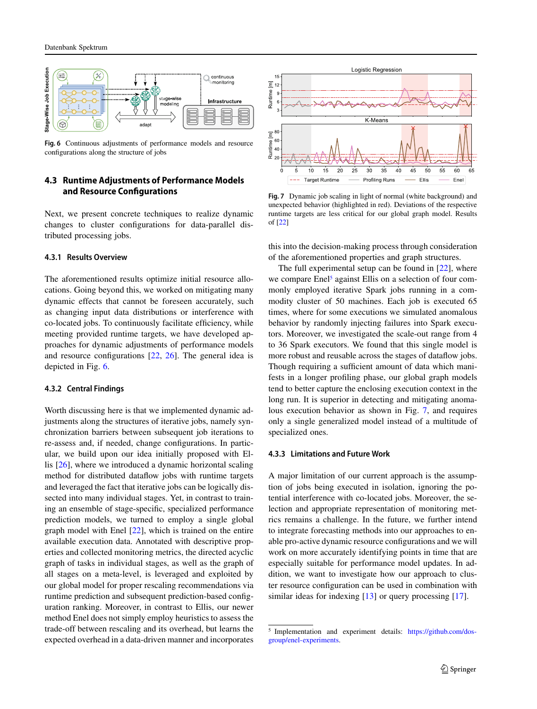

<span id="page-6-0"></span>**Fig. 6** Continuous adjustments of performance models and resource configurations along the structure of jobs

# **4.3 Runtime Adjustments of Performance Models and Resource Configurations**

Next, we present concrete techniques to realize dynamic changes to cluster configurations for data-parallel distributed processing jobs.

## **4.3.1 Results Overview**

The aforementioned results optimize initial resource allocations. Going beyond this, we worked on mitigating many dynamic effects that cannot be foreseen accurately, such as changing input data distributions or interference with co-located jobs. To continuously facilitate efficiency, while meeting provided runtime targets, we have developed approaches for dynamic adjustments of performance models and resource configurations [\[22,](#page-7-29) [26\]](#page-7-30). The general idea is depicted in Fig. [6.](#page-6-0)

## **4.3.2 Central Findings**

Worth discussing here is that we implemented dynamic adjustments along the structures of iterative jobs, namely synchronization barriers between subsequent job iterations to re-assess and, if needed, change configurations. In particular, we build upon our idea initially proposed with Ellis [\[26\]](#page-7-30), where we introduced a dynamic horizontal scaling method for distributed dataflow jobs with runtime targets and leveraged the fact that iterative jobs can be logically dissected into many individual stages. Yet, in contrast to training an ensemble of stage-specific, specialized performance prediction models, we turned to employ a single global graph model with Enel [\[22\]](#page-7-29), which is trained on the entire available execution data. Annotated with descriptive properties and collected monitoring metrics, the directed acyclic graph of tasks in individual stages, as well as the graph of all stages on a meta-level, is leveraged and exploited by our global model for proper rescaling recommendations via runtime prediction and subsequent prediction-based configuration ranking. Moreover, in contrast to Ellis, our newer method Enel does not simply employ heuristics to assess the trade-off between rescaling and its overhead, but learns the expected overhead in a data-driven manner and incorporates



<span id="page-6-2"></span>**Fig. 7** Dynamic job scaling in light of normal (white background) and unexpected behavior (highlighted in red). Deviations of the respective runtime targets are less critical for our global graph model. Results of [\[22\]](#page-7-29)

this into the decision-making process through consideration of the aforementioned properties and graph structures.

The full experimental setup can be found in  $[22]$ , where we compare Enel<sup>5</sup> against Ellis on a selection of four commonly employed iterative Spark jobs running in a commodity cluster of 50 machines. Each job is executed 65 times, where for some executions we simulated anomalous behavior by randomly injecting failures into Spark executors. Moreover, we investigated the scale-out range from 4 to 36 Spark executors. We found that this single model is more robust and reusable across the stages of dataflow jobs. Though requiring a sufficient amount of data which manifests in a longer profiling phase, our global graph models tend to better capture the enclosing execution context in the long run. It is superior in detecting and mitigating anomalous execution behavior as shown in Fig. [7,](#page-6-2) and requires only a single generalized model instead of a multitude of specialized ones.

#### **4.3.3 Limitations and Future Work**

A major limitation of our current approach is the assumption of jobs being executed in isolation, ignoring the potential interference with co-located jobs. Moreover, the selection and appropriate representation of monitoring metrics remains a challenge. In the future, we further intend to integrate forecasting methods into our approaches to enable pro-active dynamic resource configurations and we will work on more accurately identifying points in time that are especially suitable for performance model updates. In addition, we want to investigate how our approach to cluster resource configuration can be used in combination with similar ideas for indexing [\[13\]](#page-7-31) or query processing [\[17\]](#page-7-23).

<span id="page-6-1"></span><sup>5</sup> Implementation and experiment details: [https://github.com/dos](https://github.com/dos-group/enel-experiments)[group/enel-experiments.](https://github.com/dos-group/enel-experiments)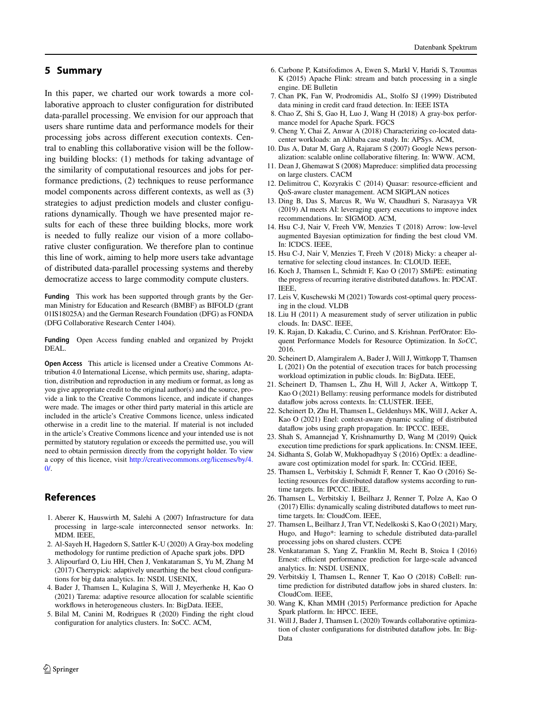# <span id="page-7-19"></span>**5 Summary**

In this paper, we charted our work towards a more collaborative approach to cluster configuration for distributed data-parallel processing. We envision for our approach that users share runtime data and performance models for their processing jobs across different execution contexts. Central to enabling this collaborative vision will be the following building blocks: (1) methods for taking advantage of the similarity of computational resources and jobs for performance predictions, (2) techniques to reuse performance model components across different contexts, as well as (3) strategies to adjust prediction models and cluster configurations dynamically. Though we have presented major results for each of these three building blocks, more work is needed to fully realize our vision of a more collaborative cluster configuration. We therefore plan to continue this line of work, aiming to help more users take advantage of distributed data-parallel processing systems and thereby democratize access to large commodity compute clusters.

**Funding** This work has been supported through grants by the German Ministry for Education and Research (BMBF) as BIFOLD (grant 01IS18025A) and the German Research Foundation (DFG) as FONDA (DFG Collaborative Research Center 1404).

**Funding** Open Access funding enabled and organized by Projekt DEAL.

**Open Access** This article is licensed under a Creative Commons Attribution 4.0 International License, which permits use, sharing, adaptation, distribution and reproduction in any medium or format, as long as you give appropriate credit to the original author(s) and the source, provide a link to the Creative Commons licence, and indicate if changes were made. The images or other third party material in this article are included in the article's Creative Commons licence, unless indicated otherwise in a credit line to the material. If material is not included in the article's Creative Commons licence and your intended use is not permitted by statutory regulation or exceeds the permitted use, you will need to obtain permission directly from the copyright holder. To view a copy of this licence, visit [http://creativecommons.org/licenses/by/4.](http://creativecommons.org/licenses/by/4.0/)  $\Omega$ 

# **References**

- <span id="page-7-1"></span>1. Aberer K, Hauswirth M, Salehi A (2007) Infrastructure for data processing in large-scale interconnected sensor networks. In: MDM. IEEE,
- <span id="page-7-11"></span><span id="page-7-10"></span>2. Al-Sayeh H, Hagedorn S, Sattler K-U (2020) A Gray-box modeling methodology for runtime prediction of Apache spark jobs. DPD
- 3. Alipourfard O, Liu HH, Chen J, Venkataraman S, Yu M, Zhang M (2017) Cherrypick: adaptively unearthing the best cloud configurations for big data analytics. In: NSDI. USENIX,
- <span id="page-7-5"></span>4. Bader J, Thamsen L, Kulagina S, Will J, Meyerhenke H, Kao O (2021) Tarema: adaptive resource allocation for scalable scientific workflows in heterogeneous clusters. In: BigData. IEEE,
- <span id="page-7-22"></span>5. Bilal M, Canini M, Rodrigues R (2020) Finding the right cloud configuration for analytics clusters. In: SoCC. ACM,

Datenbank Spektrum

- <span id="page-7-4"></span><span id="page-7-2"></span>K (2015) Apache Flink: stream and batch processing in a single engine. DE Bulletin 7. Chan PK, Fan W, Prodromidis AL, Stolfo SJ (1999) Distributed
- <span id="page-7-12"></span>data mining in credit card fraud detection. In: IEEE ISTA
- <span id="page-7-7"></span>8. Chao Z, Shi S, Gao H, Luo J, Wang H (2018) A gray-box performance model for Apache Spark. FGCS
- <span id="page-7-0"></span>9. Cheng Y, Chai Z, Anwar A (2018) Characterizing co-located datacenter workloads: an Alibaba case study. In: APSys. ACM,
- <span id="page-7-3"></span>10. Das A, Datar M, Garg A, Rajaram S (2007) Google News personalization: scalable online collaborative filtering. In: WWW. ACM,
- <span id="page-7-8"></span>11. Dean J, Ghemawat S (2008) Mapreduce: simplified data processing on large clusters. CACM
- <span id="page-7-31"></span>12. Delimitrou C, Kozyrakis C (2014) Quasar: resource-efficient and QoS-aware cluster management. ACM SIGPLAN notices
- 13. Ding B, Das S, Marcus R, Wu W, Chaudhuri S, Narasayya VR (2019) AI meets AI: leveraging query executions to improve index recommendations. In: SIGMOD. ACM,
- <span id="page-7-13"></span>14. Hsu C-J, Nair V, Freeh VW, Menzies T (2018) Arrow: low-level augmented Bayesian optimization for finding the best cloud VM. In: ICDCS. IEEE,
- <span id="page-7-25"></span><span id="page-7-14"></span>15. Hsu C-J, Nair V, Menzies T, Freeh V (2018) Micky: a cheaper alternative for selecting cloud instances. In: CLOUD. IEEE,
- 16. Koch J, Thamsen L, Schmidt F, Kao O (2017) SMiPE: estimating the progress of recurring iterative distributed dataflows. In: PDCAT. IEEE,
- <span id="page-7-23"></span><span id="page-7-9"></span>17. Leis V, Kuschewski M (2021) Towards cost-optimal query processing in the cloud. VLDB
- <span id="page-7-6"></span>18. Liu H (2011) A measurement study of server utilization in public clouds. In: DASC. IEEE,
- 19. K. Rajan, D. Kakadia, C. Curino, and S. Krishnan. PerfOrator: Eloquent Performance Models for Resource Optimization. In *SoCC*, 2016.
- <span id="page-7-26"></span>20. Scheinert D, Alamgiralem A, Bader J, Will J, Wittkopp T, Thamsen L (2021) On the potential of execution traces for batch processing workload optimization in public clouds. In: BigData. IEEE,
- <span id="page-7-28"></span>21. Scheinert D, Thamsen L, Zhu H, Will J, Acker A, Wittkopp T, Kao O (2021) Bellamy: reusing performance models for distributed dataflow jobs across contexts. In: CLUSTER. IEEE,
- <span id="page-7-29"></span>22. Scheinert D, Zhu H, Thamsen L, Geldenhuys MK, Will J, Acker A, Kao O (2021) Enel: context-aware dynamic scaling of distributed dataflow jobs using graph propagation. In: IPCCC. IEEE,
- <span id="page-7-21"></span><span id="page-7-15"></span>23. Shah S, Amannejad Y, Krishnamurthy D, Wang M (2019) Quick execution time predictions for spark applications. In: CNSM. IEEE,
- <span id="page-7-16"></span>24. Sidhanta S, Golab W, Mukhopadhyay S (2016) OptEx: a deadlineaware cost optimization model for spark. In: CCGrid. IEEE,
- 25. Thamsen L, Verbitskiy I, Schmidt F, Renner T, Kao O (2016) Selecting resources for distributed dataflow systems according to runtime targets. In: IPCCC. IEEE,
- <span id="page-7-30"></span>26. Thamsen L, Verbitskiy I, Beilharz J, Renner T, Polze A, Kao O (2017) Ellis: dynamically scaling distributed dataflows to meet runtime targets. In: CloudCom. IEEE,
- <span id="page-7-24"></span>27. Thamsen L, Beilharz J, Tran VT, Nedelkoski S, Kao O (2021) Mary, Hugo, and Hugo\*: learning to schedule distributed data-parallel processing jobs on shared clusters. CCPE
- <span id="page-7-17"></span>28. Venkataraman S, Yang Z, Franklin M, Recht B, Stoica I (2016) Ernest: efficient performance prediction for large-scale advanced analytics. In: NSDI. USENIX,
- <span id="page-7-18"></span>29. Verbitskiy I, Thamsen L, Renner T, Kao O (2018) CoBell: runtime prediction for distributed dataflow jobs in shared clusters. In: CloudCom. IEEE,
- <span id="page-7-27"></span><span id="page-7-20"></span>30. Wang K, Khan MMH (2015) Performance prediction for Apache Spark platform. In: HPCC. IEEE,
- 31. Will J, Bader J, Thamsen L (2020) Towards collaborative optimization of cluster configurations for distributed dataflow jobs. In: Big-Data